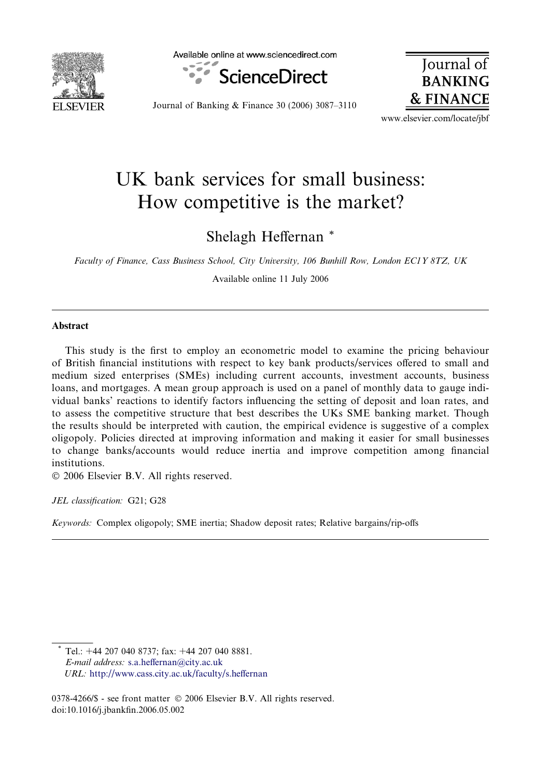

Available online at www.sciencedirect.com



**Journal BANKING & FINANCE** 

Journal of Banking & Finance 30 (2006) 3087–3110

www.elsevier.com/locate/jbf

## UK bank services for small business: How competitive is the market?

Shelagh Heffernan \*

Faculty of Finance, Cass Business School, City University, 106 Bunhill Row, London EC1Y 8TZ, UK

Available online 11 July 2006

#### Abstract

This study is the first to employ an econometric model to examine the pricing behaviour of British financial institutions with respect to key bank products/services offered to small and medium sized enterprises (SMEs) including current accounts, investment accounts, business loans, and mortgages. A mean group approach is used on a panel of monthly data to gauge individual banks' reactions to identify factors influencing the setting of deposit and loan rates, and to assess the competitive structure that best describes the UKs SME banking market. Though the results should be interpreted with caution, the empirical evidence is suggestive of a complex oligopoly. Policies directed at improving information and making it easier for small businesses to change banks/accounts would reduce inertia and improve competition among financial institutions.

© 2006 Elsevier B.V. All rights reserved.

JEL classification: G21; G28

Keywords: Complex oligopoly; SME inertia; Shadow deposit rates; Relative bargains/rip-offs

Tel.: +44 207 040 8737; fax: +44 207 040 8881. E-mail address: [s.a.heffernan@city.ac.uk](mailto:s.a.heffernan@city.ac.uk) URL: <http://www.cass.city.ac.uk/faculty/s.heffernan>

<sup>0378-4266/\$ -</sup> see front matter © 2006 Elsevier B.V. All rights reserved. doi:10.1016/j.jbankfin.2006.05.002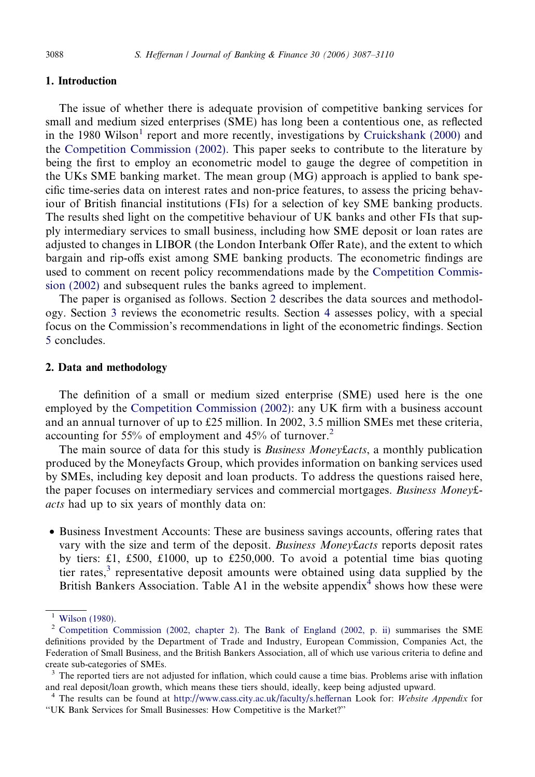### 1. Introduction

The issue of whether there is adequate provision of competitive banking services for small and medium sized enterprises (SME) has long been a contentious one, as reflected in the 1980 Wilson<sup>1</sup> report and more recently, investigations by [Cruickshank \(2000\)](#page--1-0) and the [Competition Commission \(2002\).](#page--1-0) This paper seeks to contribute to the literature by being the first to employ an econometric model to gauge the degree of competition in the UKs SME banking market. The mean group (MG) approach is applied to bank specific time-series data on interest rates and non-price features, to assess the pricing behaviour of British financial institutions (FIs) for a selection of key SME banking products. The results shed light on the competitive behaviour of UK banks and other FIs that supply intermediary services to small business, including how SME deposit or loan rates are adjusted to changes in LIBOR (the London Interbank Offer Rate), and the extent to which bargain and rip-offs exist among SME banking products. The econometric findings are used to comment on recent policy recommendations made by the [Competition Commis](#page--1-0)[sion \(2002\)](#page--1-0) and subsequent rules the banks agreed to implement.

The paper is organised as follows. Section 2 describes the data sources and methodology. Section [3](#page--1-0) reviews the econometric results. Section [4](#page--1-0) assesses policy, with a special focus on the Commission's recommendations in light of the econometric findings. Section [5](#page--1-0) concludes.

### 2. Data and methodology

The definition of a small or medium sized enterprise (SME) used here is the one employed by the [Competition Commission \(2002\):](#page--1-0) any UK firm with a business account and an annual turnover of up to £25 million. In 2002, 3.5 million SMEs met these criteria, accounting for 55% of employment and 45% of turnover.<sup>2</sup>

The main source of data for this study is *Business Money facts*, a monthly publication produced by the Moneyfacts Group, which provides information on banking services used by SMEs, including key deposit and loan products. To address the questions raised here, the paper focuses on intermediary services and commercial mortgages. Business Money£ acts had up to six years of monthly data on:

• Business Investment Accounts: These are business savings accounts, offering rates that vary with the size and term of the deposit. Business Money facts reports deposit rates by tiers: £1, £500, £1000, up to £250,000. To avoid a potential time bias quoting tier rates,<sup>3</sup> representative deposit amounts were obtained using data supplied by the British Bankers Association. Table A1 in the website appendix<sup>4</sup> shows how these were

<sup>&</sup>lt;sup>1</sup> [Wilson \(1980\).](#page--1-0)<br><sup>2</sup> [Competition Commission \(2002, chapter 2\)](#page--1-0). The [Bank of England \(2002, p. ii\)](#page--1-0) summarises the SME definitions provided by the Department of Trade and Industry, European Commission, Companies Act, the Federation of Small Business, and the British Bankers Association, all of which use various criteria to define and create sub-categories of SMEs.

 $3$  The reported tiers are not adjusted for inflation, which could cause a time bias. Problems arise with inflation and real deposit/loan growth, which means these tiers should, ideally, keep being adjusted upward.

<sup>&</sup>lt;sup>4</sup> The results can be found at <http://www.cass.city.ac.uk/faculty/s.heffernan> Look for: Website Appendix for ''UK Bank Services for Small Businesses: How Competitive is the Market?''